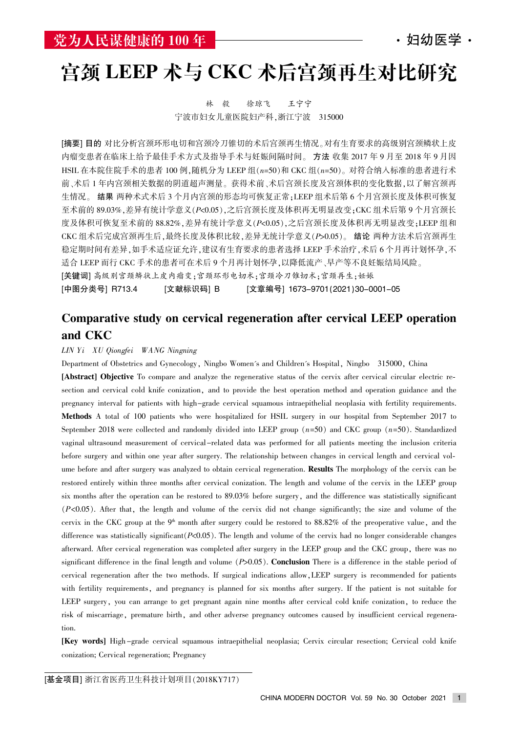# 宫颈 LEEP 术与 CKC 术后宫颈再生对比研究

林 毅 徐琼飞 王宁宁 宁波市妇女儿童医院妇产科,浙江宁波 315000

[摘要] 目的 对比分析宫颈环形电切和宫颈冷刀锥切的术后宫颈再生情况。对有生育要求的高级别宫颈鳞状上皮 内瘤变患者在临床上给予最佳手术方式及指导手术与妊娠间隔时间。方法 收集 2017 年 9 月至 2018 年 9 月因 HSIL 在本院住院手术的患者 100 例,随机分为 LEEP 组 $(n=50)$ 和 CKC 组 $(n=50)$ 。对符合纳入标准的患者进行术 前、术后 1 年内宫颈相关数据的阴道超声测量。获得术前、术后宫颈长度及宫颈体积的变化数据,以了解宫颈再 生情况。 结果 两种术式术后 3 个月内宫颈的形态均可恢复正常;LEEP 组术后第 6 个月宫颈长度及体积可恢复 至术前的 89.03%, 差异有统计学意义(P<0.05), 之后宫颈长度及体积再无明显改变: CKC 组术后第 9 个月宫颈长 度及体积可恢复至术前的 88.82%, 差异有统计学意义(P<0.05), 之后宫颈长度及体积再无明显改变; LEEP 组和 CKC 组术后完成宫颈再生后,最终长度及体积比较,差异无统计学意义(P>0.05)。 结论 两种方法术后宫颈再生 稳定期时间有差异,如手术适应证允许,建议有生育要求的患者选择 LEEP 手术治疗,术后 6 个月再计划怀孕,不 适合 LEEP 而行 CKC 手术的患者可在术后 9 个月再计划怀孕, 以降低流产、早产等不良妊娠结局风险。 [关键词] 高级别宫颈鳞状上皮内瘤变:宫颈环形电切术:宫颈冷刀锥切术:宫颈再生;妊娠 [中图分类号] R713.4 [文献标识码] B [文章编号] 1673–9701(2021)30–0001–05

### Comparative study on cervical regeneration after cervical LEEP operation and CKC

#### LIN Yi XU Qiongfei WANG Ningning

Department of Obstetrics and Gynecology, Ningbo Women's and Children's Hospital, Ningbo 315000, China [Abstract] Objective To compare and analyze the regenerative status of the cervix after cervical circular electric resection and cervical cold knife conization, and to provide the best operation method and operation guidance and the pregnancy interval for patients with high-grade cervical squamous intraepithelial neoplasia with fertility requirements. Methods A total of 100 patients who were hospitalized for HSIL surgery in our hospital from September 2017 to September 2018 were collected and randomly divided into LEEP group  $(n=50)$  and CKC group  $(n=50)$ . Standardized vaginal ultrasound measurement of cervical-related data was performed for all patients meeting the inclusion criteria before surgery and within one year after surgery. The relationship between changes in cervical length and cervical volume before and after surgery was analyzed to obtain cervical regeneration. **Results** The morphology of the cervix can be restored entirely within three months after cervical conization. The length and volume of the cervix in the LEEP group six months after the operation can be restored to 89.03% before surgery, and the difference was statistically significant  $(P<0.05)$ . After that, the length and volume of the cervix did not change significantly; the size and volume of the cervix in the CKC group at the  $9<sup>th</sup>$  month after surgery could be restored to 88.82% of the preoperative value, and the difference was statistically significant  $(P<0.05)$ . The length and volume of the cervix had no longer considerable changes afterward. After cervical regeneration was completed after surgery in the LEEP group and the CKC group, there was no significant difference in the final length and volume  $(P>0.05)$ . Conclusion There is a difference in the stable period of cervical regeneration after the two methods. If surgical indications allow, LEEP surgery is recommended for patients with fertility requirements, and pregnancy is planned for six months after surgery. If the patient is not suitable for LEEP surgery, you can arrange to get pregnant again nine months after cervical cold knife conization, to reduce the risk of miscarriage, premature birth, and other adverse pregnancy outcomes caused by insufficient cervical regeneration.

[Key words] High -grade cervical squamous intraepithelial neoplasia; Cervix circular resection; Cervical cold knife conization; Cervical regeneration; Pregnancy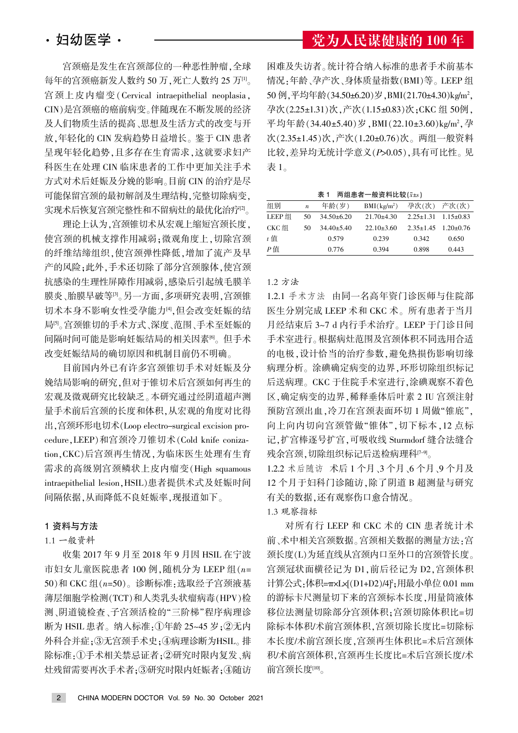宫颈癌是发生在宫颈部位的一种恶性肿瘤,全球 每年的宫颈癌新发人数约 50 万,死亡人数约 25 万[1]。 宫颈上皮内瘤变(Cervical intraepithelial neoplasia, CIN)是宫颈癌的癌前病变。伴随现在不断发展的经济 及人们物质生活的提高、思想及生活方式的改变与开 放,年轻化的 CIN 发病趋势日益增长。鉴于 CIN 患者 呈现年轻化趋势,且多存在生育需求,这就要求妇产 科医生在处理 CIN 临床患者的工作中更加关注手术 方式对术后妊娠及分娩的影响。目前 CIN 的治疗是尽 可能保留宫颈的最初解剖及生理结构,完整切除病变, 实现术后恢复宫颈完整性和不留病灶的最优化治疗 $^{[2]}$ 

理论上认为,宫颈锥切术从宏观上缩短宫颈长度, 使宫颈的机械支撑作用减弱;微观角度上,切除宫颈 的纤维结缔组织,使宫颈弹性降低,增加了流产及早 产的风险;此外,手术还切除了部分宫颈腺体,使宫颈 抗感染的生理性屏障作用减弱,感染后引起绒毛膜羊 膜炎、胎膜早破等[3]。另一方面,多项研究表明,宫颈锥 切术本身不影响女性受孕能力<sup>。</sup>但会改变妊娠的结 局 $[5,6]$ 宫颈锥切的手术方式、深度、范围、手术至妊娠的 间隔时间可能是影响妊娠结局的相关因素<sup>6</sup>。但手术 改变妊娠结局的确切原因和机制目前仍不明确。

目前国内外已有许多宫颈锥切手术对妊娠及分 娩结局影响的研究,但对于锥切术后宫颈如何再生的 宏观及微观研究比较缺乏。本研究通过经阴道超声测 量手术前后宫颈的长度和体积,从宏观的角度对比得 出,宫颈环形电切术(Loop electro-surgical excision procedure, LEEP)和宫颈冷刀锥切术(Cold knife conization.CKC)后宫颈再生情况.为临床医生处理有生育 需求的高级别宫颈鳞状上皮内瘤变(High squamous intraepithelial lesion, HSIL) 患者提供术式及妊娠时间 间隔依据,从而降低不良妊娠率,现报道如下。

#### 1 资料与方法

#### 1.1 一般资料

收集 2017 年 9 月至 2018 年 9 月因 HSIL 在宁波 市妇女儿童医院患者 100 例,随机分为 LEEP 组 $(n=$ 50)和 CKC 组 $(n=50)$ 。诊断标准:选取经子宫颈液基 薄层细胞学检测(TCT)和人类乳头状瘤病毒(HPV)检 测、阴道镜检查、子宫颈活检的"三阶梯"程序病理诊 断为 HSIL 患者。纳入标准:①年龄 25~45 岁;②无内 外科合并症;3无宫颈手术史;4病理诊断为HSIL。排 除标准:①手术相关禁忌证者;②研究时限内复发、病 灶残留需要再次手术者;3研究时限内妊娠者;4随访

### 党为人民谋健康的 100 年

困难及失访者。统计符合纳入标准的患者手术前基本 情况:年龄、孕产次、身体质量指数(BMI)等。LEEP 组 50 例,平均年龄(34.50±6.20)岁,BMI(21.70±4.30)kg/m<sup>2</sup>, 孕次(2.25±1.31)次,产次(1.15±0.83)次;CKC组50例, 平均年龄(34.40±5.40)岁,BMI(22.10±3.60)kg/m<sup>2</sup>,孕 次(2.35±1.45)次,产次(1.20±0.76)次。两组一般资料 比较,差异均无统计学意义(P>0.05),具有可比性。见 表 $1<sub>o</sub>$ 

表 1 两组患者一般资料比较 $(x \pm s)$ 

| 组别     | $\boldsymbol{n}$ | 年龄(岁)          | $BMI(kg/m^2)$  | 孕次(次) 产次(次)                     |                                 |  |
|--------|------------------|----------------|----------------|---------------------------------|---------------------------------|--|
| LEEP 组 | 50               | $34.50\pm6.20$ | $21.70 + 4.30$ | $2.25 \pm 1.31$ $1.15 \pm 0.83$ |                                 |  |
| CKC 组  | 50               | $34.40 + 5.40$ | $22.10\pm3.60$ |                                 | $2.35 \pm 1.45$ $1.20 \pm 0.76$ |  |
| t 值    |                  | 0.579          | 0.239          | 0.342                           | 0.650                           |  |
| P信     |                  | 0.776          | 0.394          | 0.898                           | 0.443                           |  |

#### 1.2 方法

1.2.1 手术方法 由同一名高年资门诊医师与住院部 医生分别完成 LEEP 术和 CKC 术。所有患者于当月 月经结束后 3~7 d 内行手术治疗。LEEP 于门诊日间 手术室进行。根据病灶范围及宫颈体积不同选用合适 的电极,设计恰当的治疗参数,避免热损伤影响切缘 病理分析。涂碘确定病变的边界,环形切除组织标记 后送病理。CKC 于住院手术室进行,涂碘观察不着色 区,确定病变的边界,稀释垂体后叶素 2 IU 宫颈注射 预防宫颈出血,冷刀在宫颈表面环切 1 周做"锥底", 向上向内切向宫颈管做"锥体",切下标本,12 点标 记,扩宫棒逐号扩宫,可吸收线 Sturmdorf 缝合法缝合 残余宫颈.切除组织标记后送检病理科<sup>[7-9]</sup>。

1.2.2 术后随访 术后 1 个月、3 个月、6 个月、9 个月及 12 个月于妇科门诊随访,除了阴道 B 超测量与研究 有关的数据,还有观察伤口愈合情况。

#### 1.3 观察指标

对所有行 LEEP 和 CKC 术的 CIN 患者统计术 前、术中相关宫颈数据。宫颈相关数据的测量方法:宫 颈长度(L)为延直线从宫颈内口至外口的宫颈管长度。 宫颈冠状面横径记为 D1, 前后径记为 D2, 宫颈体积 计算公式<sub>:</sub>体积=πxLx[(D1+D2)/4]<sup>2</sup>;用最小单位 0.01 mm 的游标卡尺测量切下来的宫颈标本长度,用量筒液体 移位法测量切除部分宫颈体积;宫颈切除体积比=切 除标本体积/术前宫颈体积.宫颈切除长度比=切除标 本长度/术前宫颈长度,宫颈再生体积比=术后宫颈体 积/术前宫颈体积.宫颈再生长度比=术后宫颈长度/术 前宫颈长度[10]。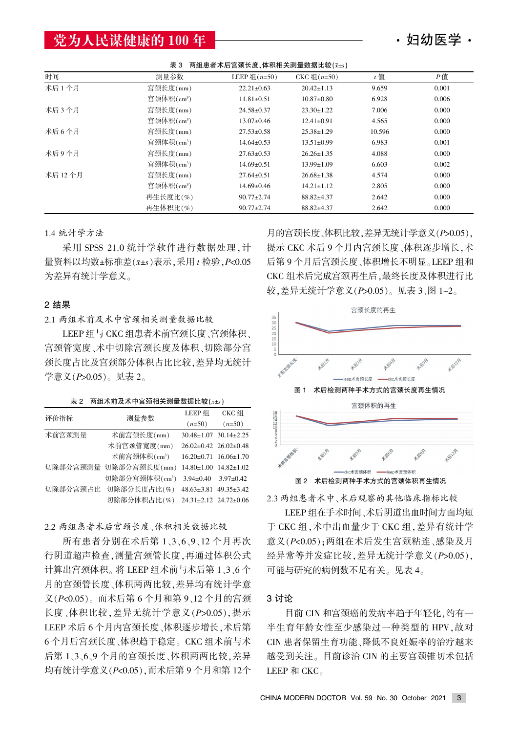### 党为人民谋健康的 100年 –––––––––––––––––––––– · 妇幼医学 ·

| 两组患者术后宫颈长度、体积相关测量数据比较(x±s)<br>表 3 |                        |                  |                  |        |       |
|-----------------------------------|------------------------|------------------|------------------|--------|-------|
| 时间                                | 测量参数                   | LEEP 组 $(n=50)$  | CKC 组 $(n=50)$   | $t$ 值  | $P$ 值 |
| 术后1个月                             | 宫颈长度(mm)               | $22.21 \pm 0.63$ | $20.42 \pm 1.13$ | 9.659  | 0.001 |
|                                   | 宫颈体积(cm <sup>3</sup> ) | $11.81 \pm 0.51$ | $10.87 \pm 0.80$ | 6.928  | 0.006 |
| 术后 3 个月                           | 宫颈长度(mm)               | $24.58 \pm 0.37$ | $23.30 \pm 1.22$ | 7.006  | 0.000 |
|                                   | 宫颈体积(cm <sup>3</sup> ) | $13.07 \pm 0.46$ | $12.41 \pm 0.91$ | 4.565  | 0.000 |
| 术后 6 个月                           | 宫颈长度(mm)               | $27.53 \pm 0.58$ | $25.38 \pm 1.29$ | 10.596 | 0.000 |
|                                   | 宫颈体积(cm <sup>3</sup> ) | $14.64 \pm 0.53$ | $13.51 \pm 0.99$ | 6.983  | 0.001 |
| 术后9个月                             | 宫颈长度(mm)               | $27.63 \pm 0.53$ | $26.26 \pm 1.35$ | 4.088  | 0.000 |
|                                   | 宫颈体积(cm <sup>3</sup> ) | $14.69 \pm 0.51$ | $13.99 \pm 1.09$ | 6.603  | 0.002 |
| 术后 12 个月                          | 宫颈长度(mm)               | $27.64 \pm 0.51$ | $26.68 \pm 1.38$ | 4.574  | 0.000 |
|                                   | 宫颈体积(cm <sup>3</sup> ) | $14.69 \pm 0.46$ | $14.21 \pm 1.12$ | 2.805  | 0.000 |
|                                   | 再生长度比(%)               | $90.77 \pm 2.74$ | $88.82{\pm}4.37$ | 2.642  | 0.000 |
|                                   | 再生体积比(%)               | $90.77 \pm 2.74$ | $88.82{\pm}4.37$ | 2.642  | 0.000 |

1.4 统计学方法

采用 SPSS 21.0 统计学软件进行数据处理, 计 量资料以均数依标准差渊x依s冤表示袁采用 t 检验袁P<0.05 为差异有统计学意义。

#### 2 结果

2.1 两组术前及术中宫颈相关测量数据比较

LEEP 组与 CKC 组患者术前宫颈长度、宫颈体积、 宫颈管宽度、术中切除宫颈长度及体积、切除部分宫 颈长度占比及宫颈部分体积占比比较, 差异均无统计 学意义 $(P>0.05)$ 。见表 2。

表 2 两组术前及术中宫颈相关测量数据比较 $(\bar{x} = s)$ 

| 评价指标     | 测量参数                       | LEEP 组                            | CKC 组                             |
|----------|----------------------------|-----------------------------------|-----------------------------------|
|          |                            | $(n=50)$                          | $(n=50)$                          |
| 术前宫颈测量   | 术前宫颈长度(mm)                 |                                   | $30.48 \pm 1.07$ $30.14 \pm 2.25$ |
|          | 术前宫颈管宽度(mm)                | $26.02 \pm 0.42$ $26.02 \pm 0.48$ |                                   |
|          | 术前宫颈体积(cm <sup>3</sup> )   |                                   | $16.20 \pm 0.71$ $16.06 \pm 1.70$ |
|          | 切除部分宫颈测量 切除部分宫颈长度(mm)      |                                   | $14.80 \pm 1.00$ $14.82 \pm 1.02$ |
|          | 切除部分宫颈体积(cm <sup>3</sup> ) | $3.94 \pm 0.40$                   | $3.97 \pm 0.42$                   |
| 切除部分宫颈占比 | 切除部分长度占比(%)                | $48.63 \pm 3.81$                  | $49.35 \pm 3.42$                  |
|          | 切除部分体积占比(%)                | 24.31±2.12 24.72±0.06             |                                   |

2.2 两组患者术后宫颈长度、体积相关数据比较

所有患者分别在术后第 1、3、6、9、12 个月再次 行阴道超声检查, 测量宫颈管长度, 再通过体积公式 计算出宫颈体积。将 LEEP 组术前与术后第 1、3、6个 月的宫颈管长度、体积两两比较,差异均有统计学意  $\chi$ ( $P$ <0.05)。而术后第 6 个月和第 9、12 个月的宫颈 长度、体积比较. 差异无统计学意义 (P>0.05). 提示 LEEP 术后 6 个月内宫颈长度、体积逐步增长, 术后第 6个月后宫颈长度、体积趋于稳定。CKC 组术前与术 后第 1.3.6.9个月的宫颈长度、体积两两比较, 差异 均有统计学意义 $(P< 0.05)$ , 而术后第 9 个月和第 12个

月的宫颈长度、体积比较,差异无统计学意义(P>0.05), 提示 CKC 术后 9 个月内宫颈长度、体积逐步增长,术 后第9个月后宫颈长度、体积增长不明显。LEEP 组和 CKC 组术后完成宫颈再生后,最终长度及体积进行比 较,差异无统计学意义 $(PS0.05)$ 。见表 3、图 1~2。



2.3 两组患者术中、术后观察的其他临床指标比较

LEEP 组在手术时间、术后阴道出血时间方面均短 于 CKC 组, 术中出血量少于 CKC 组, 差异有统计学 意义(P<0.05): 两组在术后发生宫颈粘连、感染及月 经异常等并发症比较, 差异无统计学意义 (P>0.05), 可能与研究的病例数不足有关。见表 4。

#### 3 讨论

目前 CIN 和宫颈癌的发病率趋于年轻化,约有一 半生育年龄女性至少感染过一种类型的 HPV, 故对 CIN 患者保留生育功能、降低不良妊娠率的治疗越来 越受到关注。目前诊治 CIN 的主要宫颈锥切术包括 LEEP 和 CKC。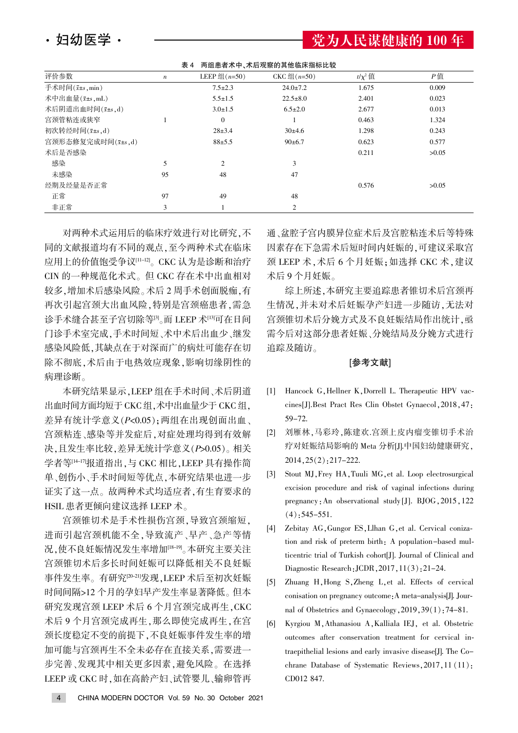・妇幼医学・

党为人民谋健康的 100 年

| 表 4 | 两组患者术中、术后观察的其他临床指标比较 |  |
|-----|----------------------|--|
|     |                      |  |

| 评价参数                         | $\boldsymbol{n}$ | LEEP 组 $(n=50)$ | CKC 组 $(n=50)$ | $t/\chi^2$ 值 | $P$ 值 |
|------------------------------|------------------|-----------------|----------------|--------------|-------|
| 手术时间 $(\bar{x} \pm s$ , min) |                  | $7.5 \pm 2.3$   | $24.0 \pm 7.2$ | 1.675        | 0.009 |
| 术中出血量 $(\bar{x} \pm s$ , mL) |                  | $5.5 \pm 1.5$   | $22.5 \pm 8.0$ | 2.401        | 0.023 |
| 术后阴道出血时间(x <sup>+s</sup> ,d) |                  | $3.0 \pm 1.5$   | $6.5 \pm 2.0$  | 2.677        | 0.013 |
| 宫颈管粘连或狭窄                     |                  | $\overline{0}$  |                | 0.463        | 1.324 |
| 初次转经时间(x+s,d)                |                  | $28+3.4$        | 30±4.6         | 1.298        | 0.243 |
| 宫颈形态修复完成时间(x±s,d)            |                  | $88 + 5.5$      | $90 \pm 6.7$   | 0.623        | 0.577 |
| 术后是否感染                       |                  |                 |                | 0.211        | >0.05 |
| 感染                           | 5                | $\overline{c}$  | 3              |              |       |
| 未感染                          | 95               | 48              | 47             |              |       |
| 经期及经量是否正常                    |                  |                 |                | 0.576        | >0.05 |
| 正常                           | 97               | 49              | 48             |              |       |
| 非正常                          | 3                |                 | $\overline{c}$ |              |       |

对两种术式运用后的临床疗效进行对比研究,不 同的文献报道均有不同的观点,至今两种术式在临床 应用上的价值饱受争议[11-12]。CKC 认为是诊断和治疗 CIN 的一种规范化术式。但 CKC 存在术中出血相对 较多,增加术后感染风险。术后 2 周手术创面脱痂,有 再次引起宫颈大出血风险,特别是宫颈癌患者,需急 诊手术缝合甚至子宫切除等[3]而 LEEP 术[13]可在日间 门诊手术室完成,手术时间短、术中术后出血少、继发 感染风险低,其缺点在于对深而广的病灶可能存在切 除不彻底,术后由于电热效应现象,影响切缘阴性的 病理诊断。

本研究结果显示,LEEP 组在手术时间、术后阴道 出血时间方面均短于 CKC 组,术中出血量少于 CKC 组, 差异有统计学意义(P<0.05);两组在出现创面出血、 宫颈粘连、感染等并发症后,对症处理均得到有效解 决,且发生率比较,差异无统计学意义(P>0.05)。相关 学者等[14-17]报道指出,与 CKC 相比, LEEP 具有操作简 单、创伤小、手术时间短等优点,本研究结果也进一步 证实了这一点。故两种术式均适应者,有生育要求的 HSIL 患者更倾向建议选择 LEEP 术。

宫颈锥切术是手术性损伤宫颈,导致宫颈缩短。 进而引起宫颈机能不全,导致流产、早产、急产等情 况,使不良妊娠情况发生率增加[18-19]。本研究主要关注 宫颈锥切术后多长时间妊娠可以降低相关不良妊娠 事件发生率。有研究[20-21]发现, LEEP 术后至初次妊娠 时间间隔>12个月的孕妇早产发生率显著降低。但本 研究发现宫颈 LEEP 术后 6 个月宫颈完成再生, CKC 术后 9 个月宫颈完成再生, 那么即使完成再生, 在宫 颈长度稳定不变的前提下,不良妊娠事件发生率的增 加可能与宫颈再生不全未必存在直接关系,需要进一 步完善、发现其中相关更多因素,避免风险。在选择 LEEP 或 CKC 时,如在高龄产妇、试管婴儿、输卵管再

通、盆腔子宫内膜异位症术后及宫腔粘连术后等特殊 因素存在下急需术后短时间内妊娠的,可建议采取宫 颈 LEEP 术, 术后 6 个月妊娠; 如选择 CKC 术, 建议 术后9个月妊娠。

综上所述,本研究主要追踪患者锥切术后宫颈再 生情况,并未对术后妊娠孕产妇进一步随访,无法对 宫颈锥切术后分娩方式及不良妊娠结局作出统计, 亟 需今后对这部分患者妊娠尧分娩结局及分娩方式进行 追踪及随访。

#### [参考文献]

- [1] Hancock G, Hellner K, Dorrell L. Therapeutic HPV vaccines[J].Best Pract Res Clin Obstet Gynaecol, 2018, 47: 59-72.
- [2] 刘雁林,马彩玲,陈建欢.宫颈上皮内瘤变锥切手术治 疗对妊娠结局影响的 Meta 分析[J].中国妇幼健康研究,  $2014, 25(2)$ : 217-222.
- [3] Stout MJ, Frey HA, Tuuli MG, et al. Loop electrosurgical excision procedure and risk of vaginal infections during pregnancy: An observational study [J]. BJOG, 2015, 122  $(4)$ : 545-551.
- [4] Zebitay AG, Gungor ES, Llhan G, et al. Cervical conization and risk of preterm birth: A population-based multicentric trial of Turkish cohort[J]. Journal of Clinical and Diagnostic Research:  $JCDR$ ,  $2017$ ,  $11(3)$ :  $21-24$ .
- [5] Zhuang H, Hong S, Zheng L, et al. Effects of cervical conisation on pregnancy outcome: A meta-analysis[J]. Journal of Obstetrics and Gynaecology,  $2019, 39(1)$ : 74-81.
- [6] Kyrgiou M, Athanasiou A, Kalliala IEJ, et al. Obstetric outcomes after conservation treatment for cervical intraepithelial lesions and early invasive disease[J]. The Cochrane Database of Systematic Reviews  $2017, 11 (11)$ : CD012 847.